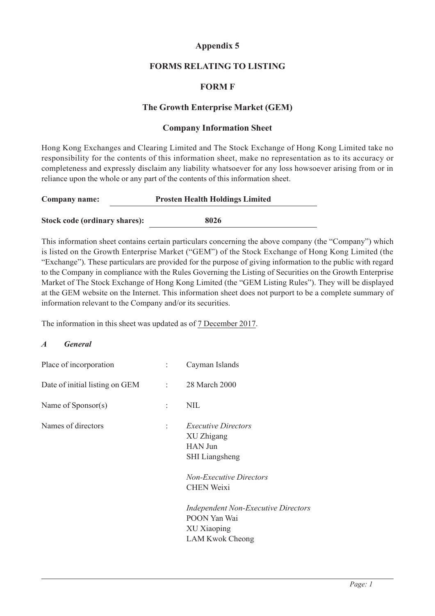# **Appendix 5**

## **FORMS RELATING TO LISTING**

## **FORM F**

#### **The Growth Enterprise Market (GEM)**

#### **Company Information Sheet**

Hong Kong Exchanges and Clearing Limited and The Stock Exchange of Hong Kong Limited take no responsibility for the contents of this information sheet, make no representation as to its accuracy or completeness and expressly disclaim any liability whatsoever for any loss howsoever arising from or in reliance upon the whole or any part of the contents of this information sheet.

| Company name:                 | <b>Prosten Health Holdings Limited</b> |  |
|-------------------------------|----------------------------------------|--|
|                               | 8026                                   |  |
| Stock code (ordinary shares): |                                        |  |

This information sheet contains certain particulars concerning the above company (the "Company") which is listed on the Growth Enterprise Market ("GEM") of the Stock Exchange of Hong Kong Limited (the "Exchange"). These particulars are provided for the purpose of giving information to the public with regard to the Company in compliance with the Rules Governing the Listing of Securities on the Growth Enterprise Market of The Stock Exchange of Hong Kong Limited (the "GEM Listing Rules"). They will be displayed at the GEM website on the Internet. This information sheet does not purport to be a complete summary of information relevant to the Company and/or its securities.

The information in this sheet was updated as of 7 December 2017.

#### *A General*

|    | Cayman Islands                                                                                                                             |
|----|--------------------------------------------------------------------------------------------------------------------------------------------|
|    | $\therefore$ 28 March 2000                                                                                                                 |
| ÷. | <b>NIL</b>                                                                                                                                 |
| ÷  | <i>Executive Directors</i><br>XU Zhigang<br><b>HAN Jun</b><br><b>SHI</b> Liangsheng<br><b>Non-Executive Directors</b><br><b>CHEN Weixi</b> |
|    | <b>Independent Non-Executive Directors</b><br>POON Yan Wai<br>XU Xiaoping<br><b>LAM Kwok Cheong</b>                                        |
|    | $1 - 1$                                                                                                                                    |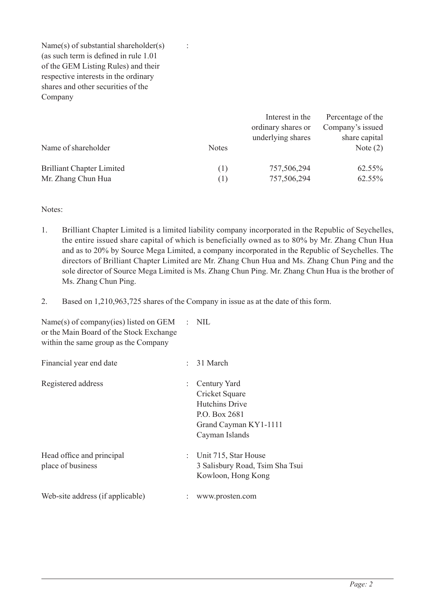Name(s) of substantial shareholder(s)  $\cdot$ (as such term is defined in rule 1.01 of the GEM Listing Rules) and their respective interests in the ordinary shares and other securities of the Company

|                                  |              | Interest in the    | Percentage of the |
|----------------------------------|--------------|--------------------|-------------------|
|                                  |              | ordinary shares or | Company's issued  |
|                                  |              | underlying shares  | share capital     |
| Name of shareholder              | <b>Notes</b> |                    | Note $(2)$        |
|                                  |              |                    |                   |
| <b>Brilliant Chapter Limited</b> | (1)          | 757,506,294        | 62.55%            |
| Mr. Zhang Chun Hua               | (1)          | 757,506,294        | 62.55%            |

Notes:

- 1. Brilliant Chapter Limited is a limited liability company incorporated in the Republic of Seychelles, the entire issued share capital of which is beneficially owned as to 80% by Mr. Zhang Chun Hua and as to 20% by Source Mega Limited, a company incorporated in the Republic of Seychelles. The directors of Brilliant Chapter Limited are Mr. Zhang Chun Hua and Ms. Zhang Chun Ping and the sole director of Source Mega Limited is Ms. Zhang Chun Ping. Mr. Zhang Chun Hua is the brother of Ms. Zhang Chun Ping.
- 2. Based on 1,210,963,725 shares of the Company in issue as at the date of this form.

| Name(s) of company(ies) listed on GEM $\therefore$ NIL<br>or the Main Board of the Stock Exchange<br>within the same group as the Company |                                                                                                                     |
|-------------------------------------------------------------------------------------------------------------------------------------------|---------------------------------------------------------------------------------------------------------------------|
| Financial year end date                                                                                                                   | 31 March                                                                                                            |
| Registered address                                                                                                                        | Century Yard<br>Cricket Square<br><b>Hutchins Drive</b><br>P.O. Box 2681<br>Grand Cayman KY1-1111<br>Cayman Islands |
| Head office and principal<br>place of business                                                                                            | : Unit 715, Star House<br>3 Salisbury Road, Tsim Sha Tsui<br>Kowloon, Hong Kong                                     |
| Web-site address (if applicable)                                                                                                          | www.prosten.com                                                                                                     |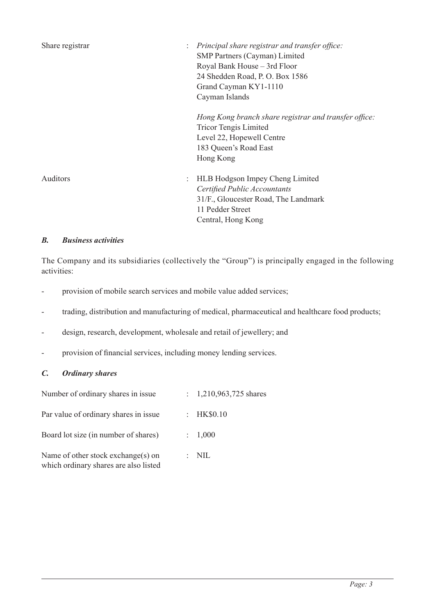| Share registrar | Principal share registrar and transfer office:<br>SMP Partners (Cayman) Limited<br>Royal Bank House - 3rd Floor<br>24 Shedden Road, P.O. Box 1586<br>Grand Cayman KY1-1110<br>Cayman Islands |
|-----------------|----------------------------------------------------------------------------------------------------------------------------------------------------------------------------------------------|
|                 | Hong Kong branch share registrar and transfer office:<br><b>Tricor Tengis Limited</b><br>Level 22, Hopewell Centre<br>183 Queen's Road East<br>Hong Kong                                     |
| <b>Auditors</b> | <b>HLB Hodgson Impey Cheng Limited</b><br>Certified Public Accountants<br>31/F., Gloucester Road, The Landmark<br>11 Pedder Street<br>Central, Hong Kong                                     |

## *B. Business activities*

The Company and its subsidiaries (collectively the "Group") is principally engaged in the following activities:

- provision of mobile search services and mobile value added services;
- trading, distribution and manufacturing of medical, pharmaceutical and healthcare food products;
- design, research, development, wholesale and retail of jewellery; and
- provision of financial services, including money lending services.

## *C. Ordinary shares*

| Number of ordinary shares in issue                                          | : $1,210,963,725$ shares |
|-----------------------------------------------------------------------------|--------------------------|
| Par value of ordinary shares in issue.                                      | : $HK$0.10$              |
| Board lot size (in number of shares)                                        | : 1,000                  |
| Name of other stock exchange(s) on<br>which ordinary shares are also listed | $:$ NIL                  |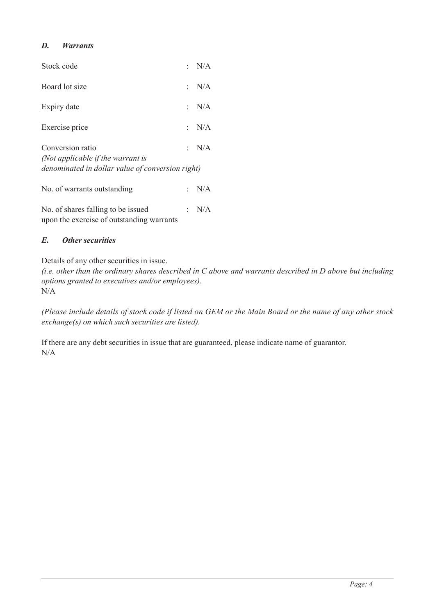# *D. Warrants*

| Stock code                                                                                                |     | : $N/A$ |
|-----------------------------------------------------------------------------------------------------------|-----|---------|
| Board lot size                                                                                            |     | : $N/A$ |
| Expiry date                                                                                               |     | : N/A   |
| Exercise price                                                                                            | ÷., | N/A     |
| Conversion ratio<br>(Not applicable if the warrant is<br>denominated in dollar value of conversion right) | ÷., | N/A     |
| No. of warrants outstanding                                                                               |     | : N/A   |
| No. of shares falling to be issued                                                                        |     | N/A     |

upon the exercise of outstanding warrants

## *E. Other securities*

Details of any other securities in issue.

*(i.e. other than the ordinary shares described in C above and warrants described in D above but including options granted to executives and/or employees).* N/A

*(Please include details of stock code if listed on GEM or the Main Board or the name of any other stock exchange(s) on which such securities are listed).*

If there are any debt securities in issue that are guaranteed, please indicate name of guarantor. N/A